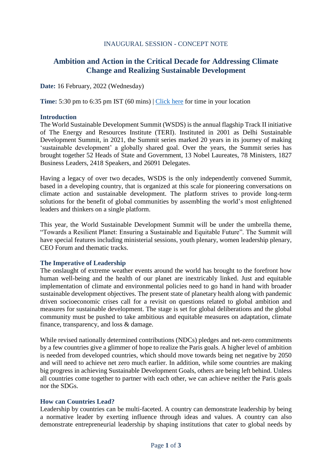### INAUGURAL SESSION - CONCEPT NOTE

# **Ambition and Action in the Critical Decade for Addressing Climate Change and Realizing Sustainable Development**

**Date:** 16 February, 2022 (Wednesday)

**Time:** 5:30 pm to 6:35 pm IST (60 mins) | [Click here](https://www.timeanddate.com/worldclock/fixedtime.html?msg=WSDS+2022+Inaugural&iso=20220216T1730&p1=176&ah=1&am=30) for time in your location

#### **Introduction**

The World Sustainable Development Summit (WSDS) is the annual flagship Track II initiative of The Energy and Resources Institute (TERI). Instituted in 2001 as Delhi Sustainable Development Summit, in 2021, the Summit series marked 20 years in its journey of making 'sustainable development' a globally shared goal. Over the years, the Summit series has brought together 52 Heads of State and Government, 13 Nobel Laureates, 78 Ministers, 1827 Business Leaders, 2418 Speakers, and 26091 Delegates.

Having a legacy of over two decades, WSDS is the only independently convened Summit, based in a developing country, that is organized at this scale for pioneering conversations on climate action and sustainable development. The platform strives to provide long-term solutions for the benefit of global communities by assembling the world's most enlightened leaders and thinkers on a single platform.

This year, the World Sustainable Development Summit will be under the umbrella theme, "Towards a Resilient Planet: Ensuring a Sustainable and Equitable Future". The Summit will have special features including ministerial sessions, youth plenary, women leadership plenary, CEO Forum and thematic tracks.

#### **The Imperative of Leadership**

The onslaught of extreme weather events around the world has brought to the forefront how human well-being and the health of our planet are inextricably linked. Just and equitable implementation of climate and environmental policies need to go hand in hand with broader sustainable development objectives. The present state of planetary health along with pandemic driven socioeconomic crises call for a revisit on questions related to global ambition and measures for sustainable development. The stage is set for global deliberations and the global community must be pushed to take ambitious and equitable measures on adaptation, climate finance, transparency, and loss & damage.

While revised nationally determined contributions (NDCs) pledges and net-zero commitments by a few countries give a glimmer of hope to realize the Paris goals. A higher level of ambition is needed from developed countries, which should move towards being net negative by 2050 and will need to achieve net zero much earlier. In addition, while some countries are making big progress in achieving Sustainable Development Goals, others are being left behind. Unless all countries come together to partner with each other, we can achieve neither the Paris goals nor the SDGs.

### **How can Countries Lead?**

Leadership by countries can be multi-faceted. A country can demonstrate leadership by being a normative leader by exerting influence through ideas and values. A country can also demonstrate entrepreneurial leadership by shaping institutions that cater to global needs by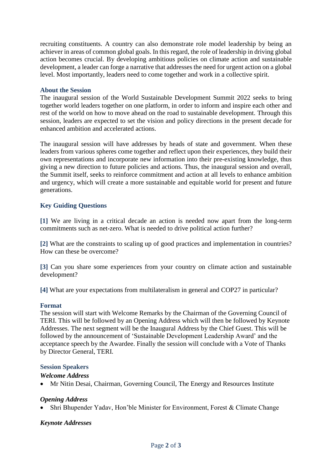recruiting constituents. A country can also demonstrate role model leadership by being an achiever in areas of common global goals. In this regard, the role of leadership in driving global action becomes crucial. By developing ambitious policies on climate action and sustainable development, a leader can forge a narrative that addresses the need for urgent action on a global level. Most importantly, leaders need to come together and work in a collective spirit.

### **About the Session**

The inaugural session of the World Sustainable Development Summit 2022 seeks to bring together world leaders together on one platform, in order to inform and inspire each other and rest of the world on how to move ahead on the road to sustainable development. Through this session, leaders are expected to set the vision and policy directions in the present decade for enhanced ambition and accelerated actions.

The inaugural session will have addresses by heads of state and government. When these leaders from various spheres come together and reflect upon their experiences, they build their own representations and incorporate new information into their pre-existing knowledge, thus giving a new direction to future policies and actions. Thus, the inaugural session and overall, the Summit itself, seeks to reinforce commitment and action at all levels to enhance ambition and urgency, which will create a more sustainable and equitable world for present and future generations.

## **Key Guiding Questions**

**[1]** We are living in a critical decade an action is needed now apart from the long-term commitments such as net-zero. What is needed to drive political action further?

**[2]** What are the constraints to scaling up of good practices and implementation in countries? How can these be overcome?

**[3]** Can you share some experiences from your country on climate action and sustainable development?

**[4]** What are your expectations from multilateralism in general and COP27 in particular?

#### **Format**

The session will start with Welcome Remarks by the Chairman of the Governing Council of TERI. This will be followed by an Opening Address which will then be followed by Keynote Addresses. The next segment will be the Inaugural Address by the Chief Guest. This will be followed by the announcement of 'Sustainable Development Leadership Award' and the acceptance speech by the Awardee. Finally the session will conclude with a Vote of Thanks by Director General, TERI.

### **Session Speakers**

#### *Welcome Address*

• Mr Nitin Desai, Chairman, Governing Council, The Energy and Resources Institute

### *Opening Address*

• Shri Bhupender Yadav, Hon'ble Minister for Environment, Forest & Climate Change

### *Keynote Addresses*